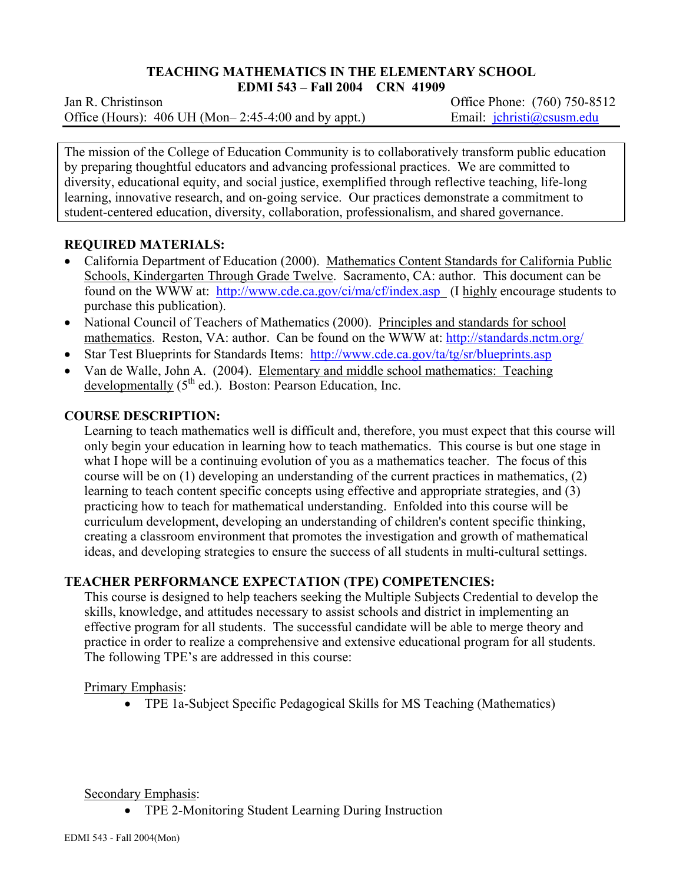#### **TEACHING MATHEMATICS IN THE ELEMENTARY SCHOOL EDMI 543 – Fall 2004 CRN 41909**

Jan R. ChristinsonOffice Phone: (760) 750-8512 Office (Hours): 406 UH (Mon–2:45-4:00 and by appt.) Email: jchristi@csusm.edu

The mission of the College of Education Community is to collaboratively transform public education by preparing thoughtful educators and advancing professional practices. We are committed to diversity, educational equity, and social justice, exemplified through reflective teaching, life-long learning, innovative research, and on-going service. Our practices demonstrate a commitment to student-centered education, diversity, collaboration, professionalism, and shared governance.

## **REQUIRED MATERIALS:**

- California Department of Education (2000). Mathematics Content Standards for California Public Schools, Kindergarten Through Grade Twelve. Sacramento, CA: author. This document can be found on the WWW at: http://www.cde.ca.gov/ci/ma/cf/index.asp (I highly encourage students to purchase this publication).
- National Council of Teachers of Mathematics (2000). Principles and standards for school mathematics. Reston, VA: author. Can be found on the WWW at: http://standards.nctm.org/
- Star Test Blueprints for Standards Items: http://www.cde.ca.gov/ta/tg/sr/blueprints.asp
- Van de Walle, John A. (2004). Elementary and middle school mathematics: Teaching developmentally  $(5<sup>th</sup>$  ed.). Boston: Pearson Education, Inc.

## **COURSE DESCRIPTION:**

Learning to teach mathematics well is difficult and, therefore, you must expect that this course will only begin your education in learning how to teach mathematics. This course is but one stage in what I hope will be a continuing evolution of you as a mathematics teacher. The focus of this course will be on (1) developing an understanding of the current practices in mathematics, (2) learning to teach content specific concepts using effective and appropriate strategies, and (3) practicing how to teach for mathematical understanding. Enfolded into this course will be curriculum development, developing an understanding of children's content specific thinking, creating a classroom environment that promotes the investigation and growth of mathematical ideas, and developing strategies to ensure the success of all students in multi-cultural settings.

# **TEACHER PERFORMANCE EXPECTATION (TPE) COMPETENCIES:**

This course is designed to help teachers seeking the Multiple Subjects Credential to develop the skills, knowledge, and attitudes necessary to assist schools and district in implementing an effective program for all students. The successful candidate will be able to merge theory and practice in order to realize a comprehensive and extensive educational program for all students. The following TPE's are addressed in this course:

### Primary Emphasis:

• TPE 1a-Subject Specific Pedagogical Skills for MS Teaching (Mathematics)

Secondary Emphasis:

• TPE 2-Monitoring Student Learning During Instruction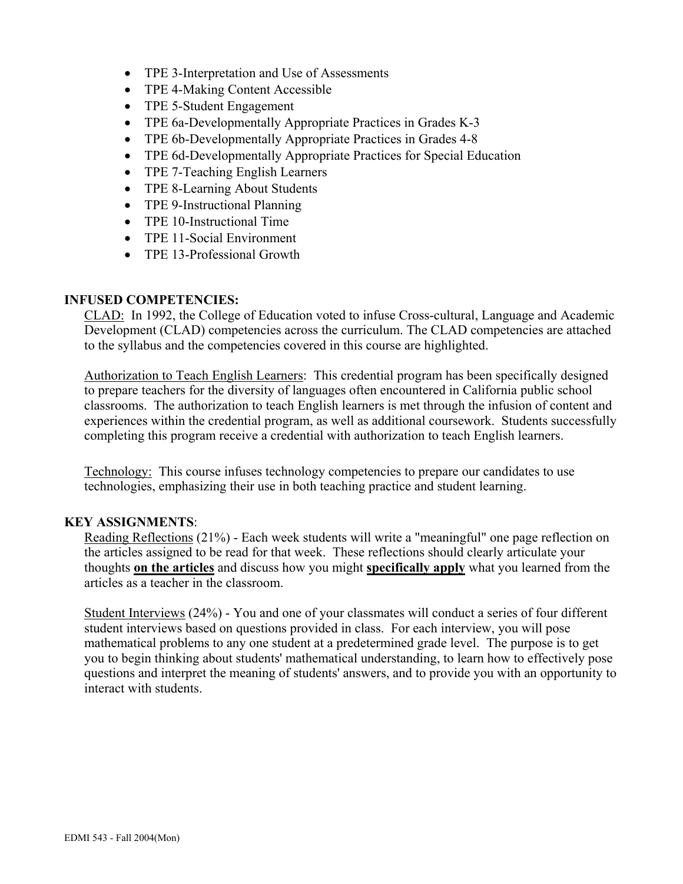- TPE 3-Interpretation and Use of Assessments
- TPE 4-Making Content Accessible
- TPE 5-Student Engagement
- TPE 6a-Developmentally Appropriate Practices in Grades K-3
- TPE 6b-Developmentally Appropriate Practices in Grades 4-8
- TPE 6d-Developmentally Appropriate Practices for Special Education
- TPE 7-Teaching English Learners
- TPE 8-Learning About Students
- TPE 9-Instructional Planning
- TPE 10-Instructional Time
- TPE 11-Social Environment
- TPE 13-Professional Growth

### **INFUSED COMPETENCIES:**

CLAD: In 1992, the College of Education voted to infuse Cross-cultural, Language and Academic Development (CLAD) competencies across the curriculum. The CLAD competencies are attached to the syllabus and the competencies covered in this course are highlighted.

Authorization to Teach English Learners: This credential program has been specifically designed to prepare teachers for the diversity of languages often encountered in California public school classrooms. The authorization to teach English learners is met through the infusion of content and experiences within the credential program, as well as additional coursework. Students successfully completing this program receive a credential with authorization to teach English learners.

Technology: This course infuses technology competencies to prepare our candidates to use technologies, emphasizing their use in both teaching practice and student learning.

### **KEY ASSIGNMENTS**:

Reading Reflections (21%) - Each week students will write a "meaningful" one page reflection on the articles assigned to be read for that week. These reflections should clearly articulate your thoughts **on the articles** and discuss how you might **specifically apply** what you learned from the articles as a teacher in the classroom.

Student Interviews (24%) - You and one of your classmates will conduct a series of four different student interviews based on questions provided in class. For each interview, you will pose mathematical problems to any one student at a predetermined grade level. The purpose is to get you to begin thinking about students' mathematical understanding, to learn how to effectively pose questions and interpret the meaning of students' answers, and to provide you with an opportunity to interact with students.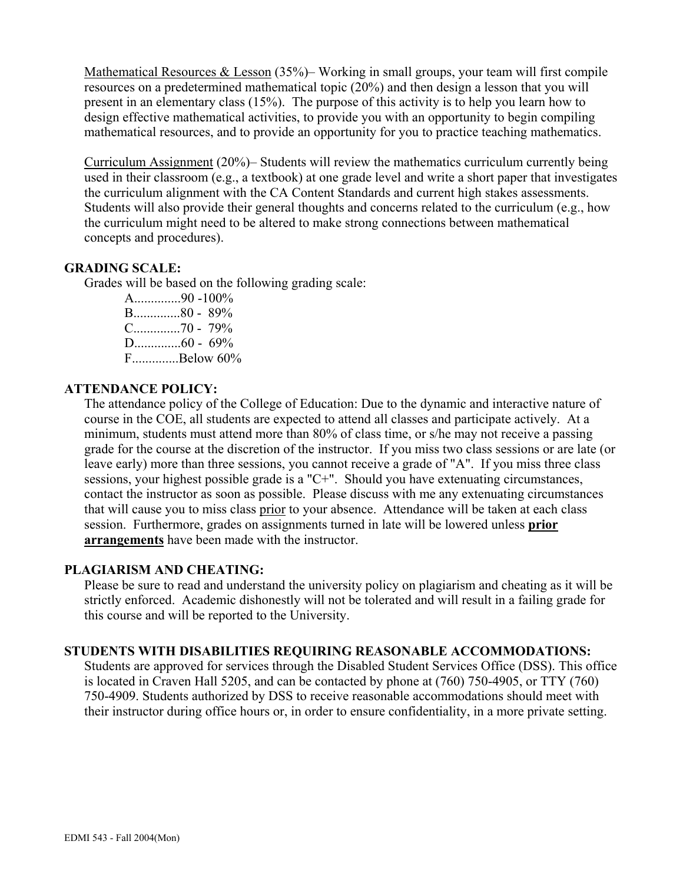Mathematical Resources & Lesson (35%)– Working in small groups, your team will first compile resources on a predetermined mathematical topic (20%) and then design a lesson that you will present in an elementary class (15%). The purpose of this activity is to help you learn how to design effective mathematical activities, to provide you with an opportunity to begin compiling mathematical resources, and to provide an opportunity for you to practice teaching mathematics.

Curriculum Assignment (20%)– Students will review the mathematics curriculum currently being used in their classroom (e.g., a textbook) at one grade level and write a short paper that investigates the curriculum alignment with the CA Content Standards and current high stakes assessments. Students will also provide their general thoughts and concerns related to the curriculum (e.g., how the curriculum might need to be altered to make strong connections between mathematical concepts and procedures).

### **GRADING SCALE:**

Grades will be based on the following grading scale:

A..............90 -100% B..............80 - 89% C..............70 - 79% D..............60 - 69% F..............Below 60%

## **ATTENDANCE POLICY:**

The attendance policy of the College of Education: Due to the dynamic and interactive nature of course in the COE, all students are expected to attend all classes and participate actively. At a minimum, students must attend more than 80% of class time, or s/he may not receive a passing grade for the course at the discretion of the instructor. If you miss two class sessions or are late (or leave early) more than three sessions, you cannot receive a grade of "A". If you miss three class sessions, your highest possible grade is a "C+". Should you have extenuating circumstances, contact the instructor as soon as possible. Please discuss with me any extenuating circumstances that will cause you to miss class prior to your absence. Attendance will be taken at each class session. Furthermore, grades on assignments turned in late will be lowered unless **prior arrangements** have been made with the instructor.

### **PLAGIARISM AND CHEATING:**

Please be sure to read and understand the university policy on plagiarism and cheating as it will be strictly enforced. Academic dishonestly will not be tolerated and will result in a failing grade for this course and will be reported to the University.

### **STUDENTS WITH DISABILITIES REQUIRING REASONABLE ACCOMMODATIONS:**

Students are approved for services through the Disabled Student Services Office (DSS). This office is located in Craven Hall 5205, and can be contacted by phone at (760) 750-4905, or TTY (760) 750-4909. Students authorized by DSS to receive reasonable accommodations should meet with their instructor during office hours or, in order to ensure confidentiality, in a more private setting.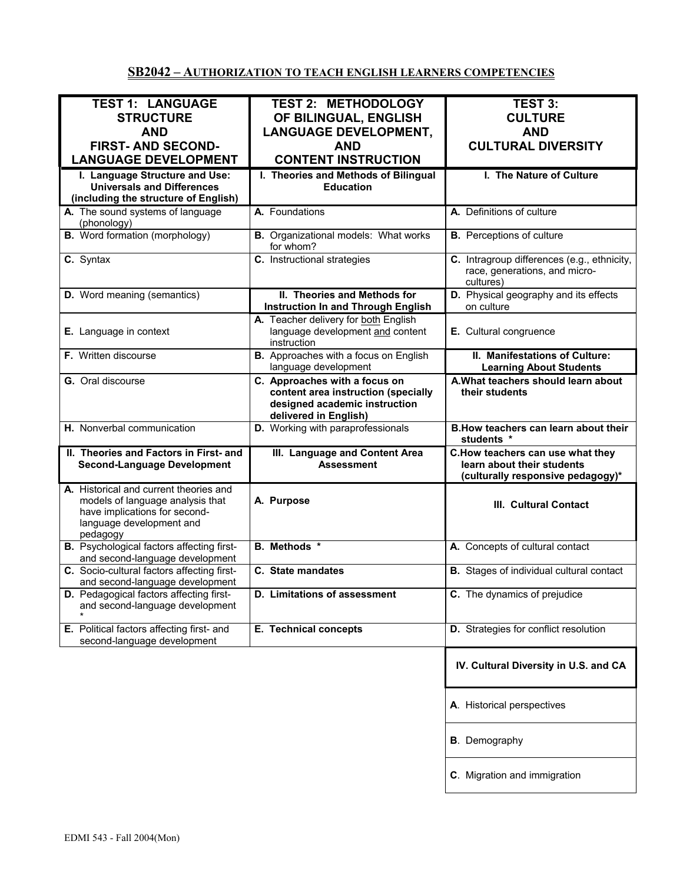# **SB2042 – AUTHORIZATION TO TEACH ENGLISH LEARNERS COMPETENCIES**

| <b>TEST 1: LANGUAGE</b><br><b>STRUCTURE</b><br><b>AND</b><br><b>FIRST- AND SECOND-</b>                                                              | <b>TEST 2: METHODOLOGY</b><br>OF BILINGUAL, ENGLISH<br><b>LANGUAGE DEVELOPMENT,</b><br><b>AND</b>                              | <b>TEST 3:</b><br><b>CULTURE</b><br><b>AND</b><br><b>CULTURAL DIVERSITY</b>                         |
|-----------------------------------------------------------------------------------------------------------------------------------------------------|--------------------------------------------------------------------------------------------------------------------------------|-----------------------------------------------------------------------------------------------------|
| <b>LANGUAGE DEVELOPMENT</b><br>I. Language Structure and Use:                                                                                       | <b>CONTENT INSTRUCTION</b><br>I. Theories and Methods of Bilingual                                                             | I. The Nature of Culture                                                                            |
| <b>Universals and Differences</b><br>(including the structure of English)                                                                           | <b>Education</b>                                                                                                               |                                                                                                     |
| A. The sound systems of language<br>(phonology)                                                                                                     | A. Foundations                                                                                                                 | A. Definitions of culture                                                                           |
| <b>B.</b> Word formation (morphology)                                                                                                               | <b>B.</b> Organizational models: What works<br>for whom?                                                                       | <b>B.</b> Perceptions of culture                                                                    |
| C. Syntax                                                                                                                                           | C. Instructional strategies                                                                                                    | C. Intragroup differences (e.g., ethnicity,<br>race, generations, and micro-<br>cultures)           |
| <b>D.</b> Word meaning (semantics)                                                                                                                  | II. Theories and Methods for<br><b>Instruction In and Through English</b>                                                      | D. Physical geography and its effects<br>on culture                                                 |
| E. Language in context                                                                                                                              | A. Teacher delivery for both English<br>language development and content<br>instruction                                        | E. Cultural congruence                                                                              |
| F. Written discourse                                                                                                                                | B. Approaches with a focus on English<br>language development                                                                  | II. Manifestations of Culture:<br><b>Learning About Students</b>                                    |
| G. Oral discourse                                                                                                                                   | C. Approaches with a focus on<br>content area instruction (specially<br>designed academic instruction<br>delivered in English) | A. What teachers should learn about<br>their students                                               |
| H. Nonverbal communication                                                                                                                          | D. Working with paraprofessionals                                                                                              | B. How teachers can learn about their<br>students *                                                 |
| II. Theories and Factors in First- and<br><b>Second-Language Development</b>                                                                        | III. Language and Content Area<br><b>Assessment</b>                                                                            | C.How teachers can use what they<br>learn about their students<br>(culturally responsive pedagogy)* |
| A. Historical and current theories and<br>models of language analysis that<br>have implications for second-<br>language development and<br>pedagogy | A. Purpose                                                                                                                     | III. Cultural Contact                                                                               |
| <b>B.</b> Psychological factors affecting first-<br>and second-language development                                                                 | <b>B.</b> Methods *                                                                                                            | A. Concepts of cultural contact                                                                     |
| C. Socio-cultural factors affecting first-<br>and second-language development                                                                       | C. State mandates                                                                                                              | <b>B.</b> Stages of individual cultural contact                                                     |
| D. Pedagogical factors affecting first-<br>and second-language development                                                                          | <b>D.</b> Limitations of assessment                                                                                            | C. The dynamics of prejudice                                                                        |
| E. Political factors affecting first- and<br>second-language development                                                                            | E. Technical concepts                                                                                                          | D. Strategies for conflict resolution                                                               |
|                                                                                                                                                     |                                                                                                                                | IV. Cultural Diversity in U.S. and CA                                                               |
|                                                                                                                                                     |                                                                                                                                | A. Historical perspectives                                                                          |
|                                                                                                                                                     |                                                                                                                                | <b>B</b> . Demography                                                                               |
|                                                                                                                                                     |                                                                                                                                | C. Migration and immigration                                                                        |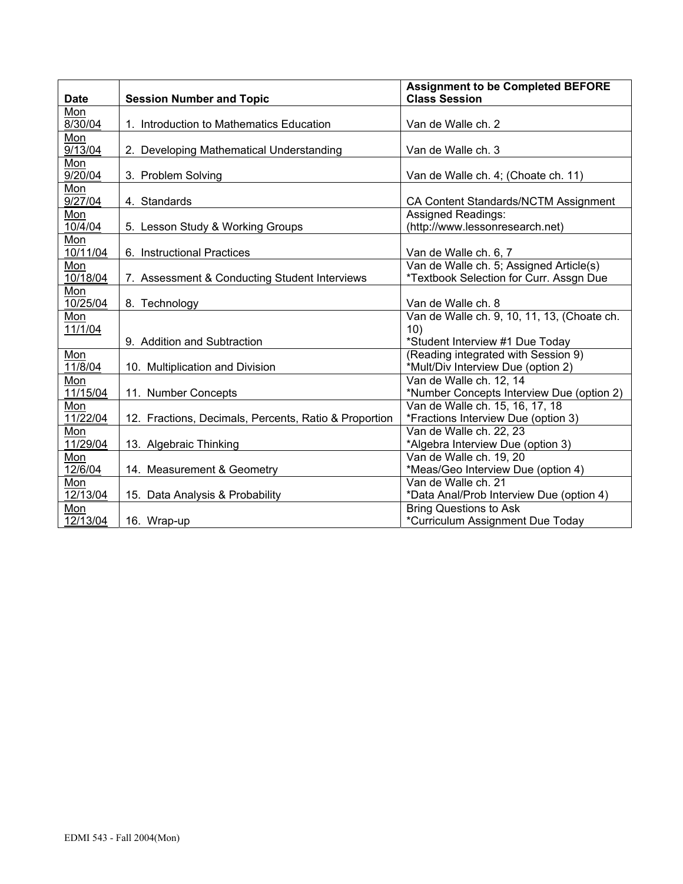| <b>Date</b> | <b>Session Number and Topic</b>                       | <b>Assignment to be Completed BEFORE</b><br><b>Class Session</b> |
|-------------|-------------------------------------------------------|------------------------------------------------------------------|
| Mon         |                                                       |                                                                  |
| 8/30/04     | 1. Introduction to Mathematics Education              | Van de Walle ch. 2                                               |
| Mon         |                                                       |                                                                  |
| 9/13/04     | 2. Developing Mathematical Understanding              | Van de Walle ch. 3                                               |
| Mon         |                                                       |                                                                  |
| 9/20/04     | 3. Problem Solving                                    | Van de Walle ch. 4; (Choate ch. 11)                              |
| Mon         |                                                       |                                                                  |
| 9/27/04     | 4. Standards                                          | CA Content Standards/NCTM Assignment                             |
| Mon         |                                                       | <b>Assigned Readings:</b>                                        |
| 10/4/04     | 5. Lesson Study & Working Groups                      | (http://www.lessonresearch.net)                                  |
| Mon         |                                                       |                                                                  |
| 10/11/04    | 6. Instructional Practices                            | Van de Walle ch. 6, 7                                            |
| Mon         |                                                       | Van de Walle ch. 5; Assigned Article(s)                          |
| 10/18/04    | 7. Assessment & Conducting Student Interviews         | *Textbook Selection for Curr. Assgn Due                          |
| Mon         |                                                       |                                                                  |
| 10/25/04    | 8. Technology                                         | Van de Walle ch. 8                                               |
| Mon         |                                                       | Van de Walle ch. 9, 10, 11, 13, (Choate ch.                      |
| 11/1/04     |                                                       | 10)                                                              |
|             | 9. Addition and Subtraction                           | *Student Interview #1 Due Today                                  |
| Mon         |                                                       | (Reading integrated with Session 9)                              |
| 11/8/04     | 10. Multiplication and Division                       | *Mult/Div Interview Due (option 2)                               |
| Mon         |                                                       | Van de Walle ch. 12, 14                                          |
| 11/15/04    | 11. Number Concepts                                   | *Number Concepts Interview Due (option 2)                        |
| Mon         |                                                       | Van de Walle ch. 15, 16, 17, 18                                  |
| 11/22/04    | 12. Fractions, Decimals, Percents, Ratio & Proportion | *Fractions Interview Due (option 3)                              |
| Mon         |                                                       | Van de Walle ch. 22, 23                                          |
| 11/29/04    | 13. Algebraic Thinking                                | *Algebra Interview Due (option 3)                                |
| Mon         |                                                       | Van de Walle ch. 19, 20                                          |
| 12/6/04     | 14. Measurement & Geometry                            | *Meas/Geo Interview Due (option 4)                               |
| Mon         |                                                       | Van de Walle ch. 21                                              |
| 12/13/04    | 15. Data Analysis & Probability                       | *Data Anal/Prob Interview Due (option 4)                         |
| Mon         |                                                       | <b>Bring Questions to Ask</b>                                    |
| 12/13/04    | 16. Wrap-up                                           | *Curriculum Assignment Due Today                                 |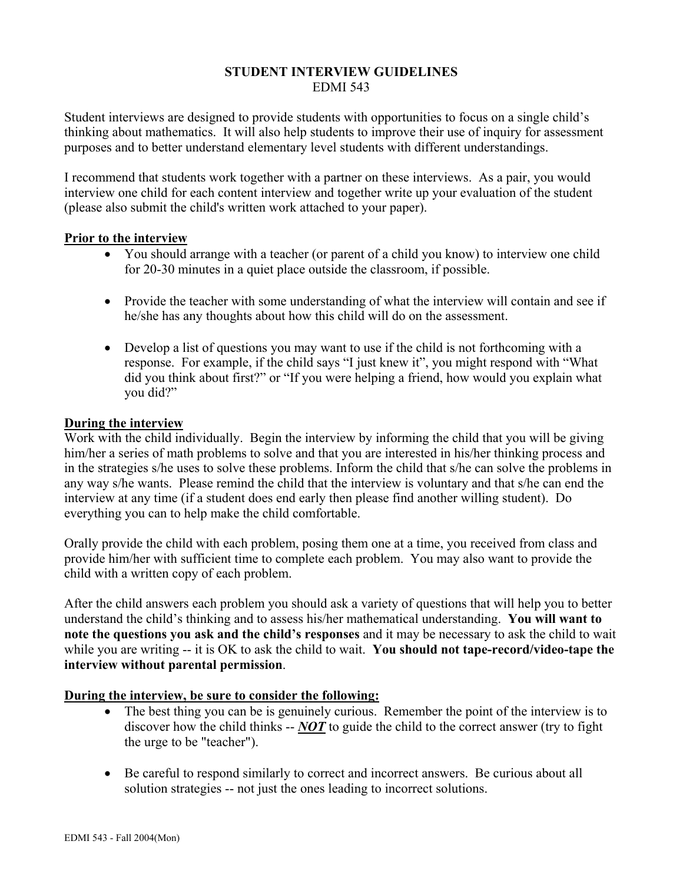### **STUDENT INTERVIEW GUIDELINES**  EDMI 543

Student interviews are designed to provide students with opportunities to focus on a single child's thinking about mathematics. It will also help students to improve their use of inquiry for assessment purposes and to better understand elementary level students with different understandings.

I recommend that students work together with a partner on these interviews. As a pair, you would interview one child for each content interview and together write up your evaluation of the student (please also submit the child's written work attached to your paper).

### **Prior to the interview**

- You should arrange with a teacher (or parent of a child you know) to interview one child for 20-30 minutes in a quiet place outside the classroom, if possible.
- Provide the teacher with some understanding of what the interview will contain and see if he/she has any thoughts about how this child will do on the assessment.
- Develop a list of questions you may want to use if the child is not forthcoming with a response. For example, if the child says "I just knew it", you might respond with "What did you think about first?" or "If you were helping a friend, how would you explain what you did?"

## **During the interview**

Work with the child individually. Begin the interview by informing the child that you will be giving him/her a series of math problems to solve and that you are interested in his/her thinking process and in the strategies s/he uses to solve these problems. Inform the child that s/he can solve the problems in any way s/he wants. Please remind the child that the interview is voluntary and that s/he can end the interview at any time (if a student does end early then please find another willing student). Do everything you can to help make the child comfortable.

Orally provide the child with each problem, posing them one at a time, you received from class and provide him/her with sufficient time to complete each problem. You may also want to provide the child with a written copy of each problem.

After the child answers each problem you should ask a variety of questions that will help you to better understand the child's thinking and to assess his/her mathematical understanding. **You will want to note the questions you ask and the child's responses** and it may be necessary to ask the child to wait while you are writing -- it is OK to ask the child to wait. **You should not tape-record/video-tape the interview without parental permission**.

# **During the interview, be sure to consider the following:**

- The best thing you can be is genuinely curious. Remember the point of the interview is to discover how the child thinks -- *NOT* to guide the child to the correct answer (try to fight the urge to be "teacher").
- Be careful to respond similarly to correct and incorrect answers. Be curious about all solution strategies -- not just the ones leading to incorrect solutions.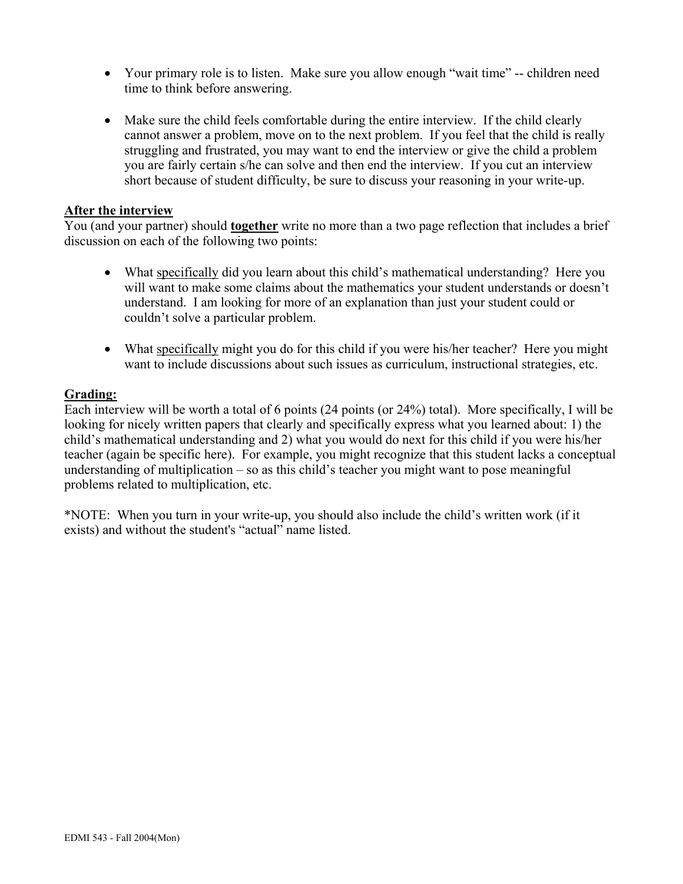- Your primary role is to listen. Make sure you allow enough "wait time" -- children need time to think before answering.
- Make sure the child feels comfortable during the entire interview. If the child clearly cannot answer a problem, move on to the next problem. If you feel that the child is really struggling and frustrated, you may want to end the interview or give the child a problem you are fairly certain s/he can solve and then end the interview. If you cut an interview short because of student difficulty, be sure to discuss your reasoning in your write-up.

#### **After the interview**

You (and your partner) should **together** write no more than a two page reflection that includes a brief discussion on each of the following two points:

- What specifically did you learn about this child's mathematical understanding? Here you will want to make some claims about the mathematics your student understands or doesn't understand. I am looking for more of an explanation than just your student could or couldn't solve a particular problem.
- What specifically might you do for this child if you were his/her teacher? Here you might want to include discussions about such issues as curriculum, instructional strategies, etc.

### **Grading:**

Each interview will be worth a total of 6 points (24 points (or 24%) total). More specifically, I will be looking for nicely written papers that clearly and specifically express what you learned about: 1) the child's mathematical understanding and 2) what you would do next for this child if you were his/her teacher (again be specific here). For example, you might recognize that this student lacks a conceptual understanding of multiplication – so as this child's teacher you might want to pose meaningful problems related to multiplication, etc.

\*NOTE: When you turn in your write-up, you should also include the child's written work (if it exists) and without the student's "actual" name listed.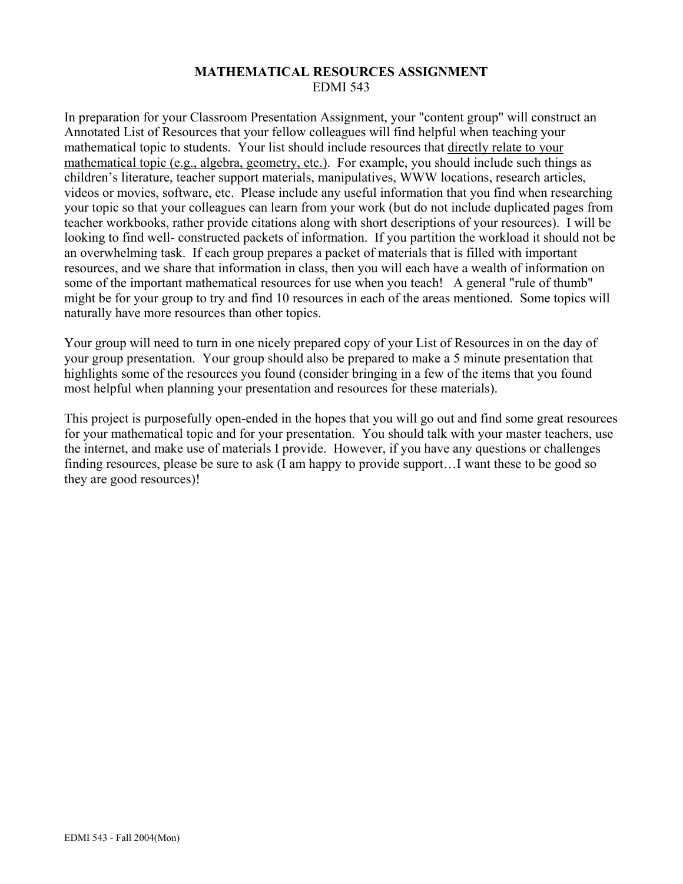## **MATHEMATICAL RESOURCES ASSIGNMENT**  EDMI 543

In preparation for your Classroom Presentation Assignment, your "content group" will construct an Annotated List of Resources that your fellow colleagues will find helpful when teaching your mathematical topic to students. Your list should include resources that directly relate to your mathematical topic (e.g., algebra, geometry, etc.). For example, you should include such things as children's literature, teacher support materials, manipulatives, WWW locations, research articles, videos or movies, software, etc. Please include any useful information that you find when researching your topic so that your colleagues can learn from your work (but do not include duplicated pages from teacher workbooks, rather provide citations along with short descriptions of your resources). I will be looking to find well- constructed packets of information. If you partition the workload it should not be an overwhelming task. If each group prepares a packet of materials that is filled with important resources, and we share that information in class, then you will each have a wealth of information on some of the important mathematical resources for use when you teach! A general "rule of thumb" might be for your group to try and find 10 resources in each of the areas mentioned. Some topics will naturally have more resources than other topics.

Your group will need to turn in one nicely prepared copy of your List of Resources in on the day of your group presentation. Your group should also be prepared to make a 5 minute presentation that highlights some of the resources you found (consider bringing in a few of the items that you found most helpful when planning your presentation and resources for these materials).

This project is purposefully open-ended in the hopes that you will go out and find some great resources for your mathematical topic and for your presentation. You should talk with your master teachers, use the internet, and make use of materials I provide. However, if you have any questions or challenges finding resources, please be sure to ask (I am happy to provide support…I want these to be good so they are good resources)!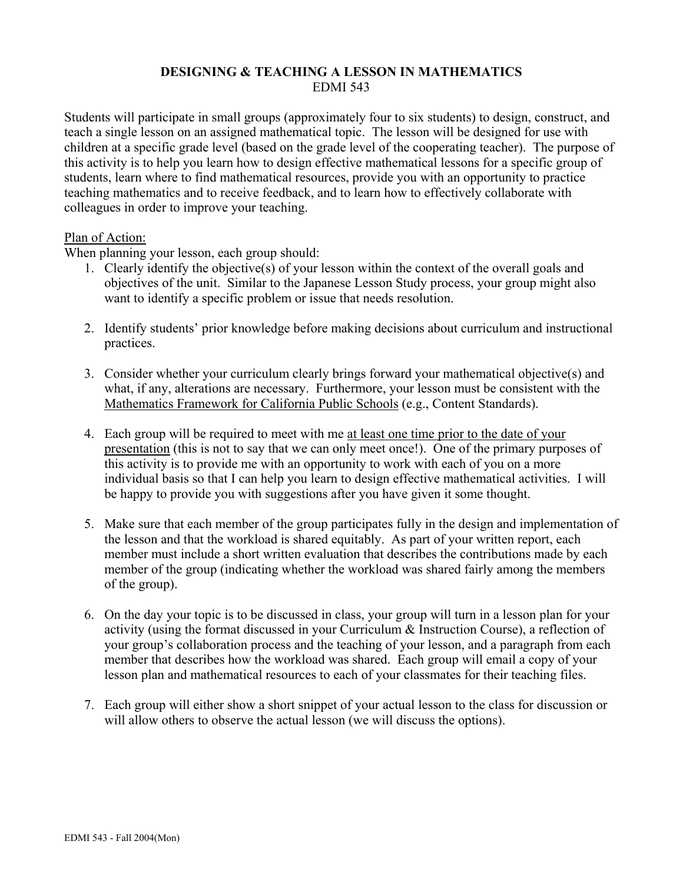## **DESIGNING & TEACHING A LESSON IN MATHEMATICS**  EDMI 543

Students will participate in small groups (approximately four to six students) to design, construct, and teach a single lesson on an assigned mathematical topic. The lesson will be designed for use with children at a specific grade level (based on the grade level of the cooperating teacher). The purpose of this activity is to help you learn how to design effective mathematical lessons for a specific group of students, learn where to find mathematical resources, provide you with an opportunity to practice teaching mathematics and to receive feedback, and to learn how to effectively collaborate with colleagues in order to improve your teaching.

## Plan of Action:

When planning your lesson, each group should:

- 1. Clearly identify the objective(s) of your lesson within the context of the overall goals and objectives of the unit. Similar to the Japanese Lesson Study process, your group might also want to identify a specific problem or issue that needs resolution.
- 2. Identify students' prior knowledge before making decisions about curriculum and instructional practices.
- 3. Consider whether your curriculum clearly brings forward your mathematical objective(s) and what, if any, alterations are necessary. Furthermore, your lesson must be consistent with the Mathematics Framework for California Public Schools (e.g., Content Standards).
- 4. Each group will be required to meet with me at least one time prior to the date of your presentation (this is not to say that we can only meet once!). One of the primary purposes of this activity is to provide me with an opportunity to work with each of you on a more individual basis so that I can help you learn to design effective mathematical activities. I will be happy to provide you with suggestions after you have given it some thought.
- 5. Make sure that each member of the group participates fully in the design and implementation of the lesson and that the workload is shared equitably. As part of your written report, each member must include a short written evaluation that describes the contributions made by each member of the group (indicating whether the workload was shared fairly among the members of the group).
- 6. On the day your topic is to be discussed in class, your group will turn in a lesson plan for your activity (using the format discussed in your Curriculum & Instruction Course), a reflection of your group's collaboration process and the teaching of your lesson, and a paragraph from each member that describes how the workload was shared. Each group will email a copy of your lesson plan and mathematical resources to each of your classmates for their teaching files.
- 7. Each group will either show a short snippet of your actual lesson to the class for discussion or will allow others to observe the actual lesson (we will discuss the options).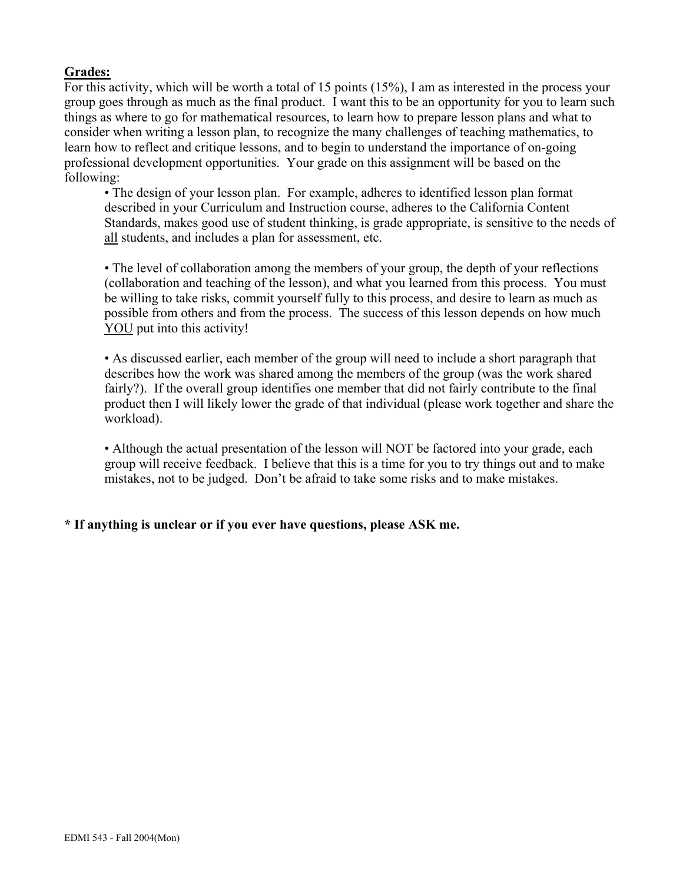# **Grades:**

For this activity, which will be worth a total of 15 points (15%), I am as interested in the process your group goes through as much as the final product. I want this to be an opportunity for you to learn such things as where to go for mathematical resources, to learn how to prepare lesson plans and what to consider when writing a lesson plan, to recognize the many challenges of teaching mathematics, to learn how to reflect and critique lessons, and to begin to understand the importance of on-going professional development opportunities. Your grade on this assignment will be based on the following:

• The design of your lesson plan. For example, adheres to identified lesson plan format described in your Curriculum and Instruction course, adheres to the California Content Standards, makes good use of student thinking, is grade appropriate, is sensitive to the needs of all students, and includes a plan for assessment, etc.

• The level of collaboration among the members of your group, the depth of your reflections (collaboration and teaching of the lesson), and what you learned from this process. You must be willing to take risks, commit yourself fully to this process, and desire to learn as much as possible from others and from the process. The success of this lesson depends on how much YOU put into this activity!

• As discussed earlier, each member of the group will need to include a short paragraph that describes how the work was shared among the members of the group (was the work shared fairly?). If the overall group identifies one member that did not fairly contribute to the final product then I will likely lower the grade of that individual (please work together and share the workload).

• Although the actual presentation of the lesson will NOT be factored into your grade, each group will receive feedback. I believe that this is a time for you to try things out and to make mistakes, not to be judged. Don't be afraid to take some risks and to make mistakes.

# **\* If anything is unclear or if you ever have questions, please ASK me.**